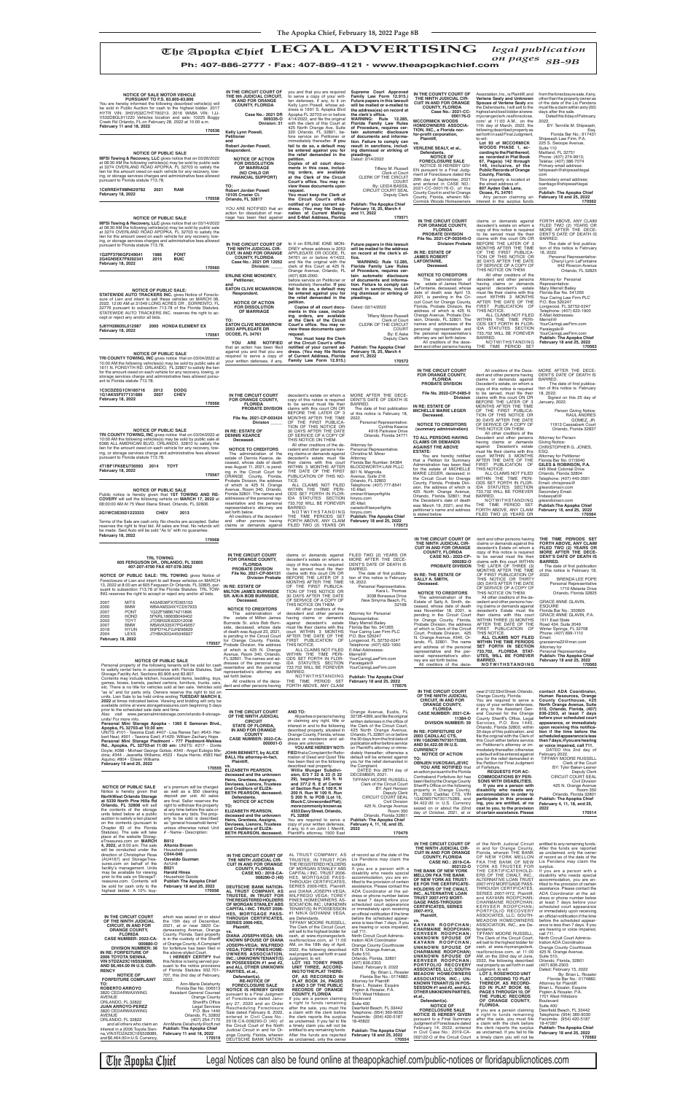NOTICE OF PUBLIC SALE: TRL TOWING gives Notice of<br>Foreclosure of Lien and intent to sell these vehicles on MARCH<br>13, 2022 at 8:00 am at 605 Ferguson Dr Orlando, FL 32805, pur-<br>suant to subsection 713.78 of the Florida Stat ING reserves the right to accept or reject any and/or all bids.

### **TRL TOWING 605 FERGUSON DR., ORLANDO, FL 32805 407-207-4790 FAX 407-578-3052**

is stated below.

FILED TWO (2) YEARS OR

 **170564**

**SALLY A. SMITH, Deceased.**

BRENDA LEE POPE Personal Representative 1710 Melanie Drive Orlando, Florida 32825

GRACE ANNE GLAVIN,

ESQUIRE Florida Bar No.: 350605 GRACE ANNE GLAVIN, P.A. 1511 East State Road 434, Suite 2049

**2G1WC5E35D1223333 CHEV 2013**

Terms of the Sale are cash only. No checks are accepted. Seller<br>reserves the right to final bid. All sales are final. No refunds will<br>be made. Said Auto will be sold "As Is" with no guarantee.<br>**February 18, 2022** 

**170568**

| SR. AINA DUD DURNSILE.<br>Deceased. |                   |             |      |
|-------------------------------------|-------------------|-------------|------|
|                                     | 4A3AB36FX7E065153 | <b>MITS</b> | 2007 |
| <b>NOTICE TO CREDITORS</b>          | WBAAM334XYCD57933 | <b>BMW</b>  | 2000 |
| The administration<br>of            | 1G2ZF58B674211896 | <b>PONT</b> | 2007 |
| estate of Milton James<br>the       | 5FNRL18663B049402 | <b>HOND</b> | 2003 |
|                                     | JTDBB32F632012008 | TOYT        | 2003 |

| <b>NOTICE OF SALE MOTOR VEHICLE</b><br>PURSUANT TO F.S. 83.805-83.806<br>You are hereby informed the following described vehicle(s) will<br>be sold in Public Auction for cash to the highest bidder. 2017<br>HYTR VIN: 3H3V532C7HT700213. 2016 WABA VIN: 1JJ-<br>V532D8GL911220 Vehicles location and sale: 10225 Boggy<br>Creek Rd Orlando, FL on February 28, 2022 at 10:00 a.m.<br>February 11 and 18, 2022<br>170536<br><b>NOTICE OF PUBLIC SALE</b><br>MFSI Towing & Recovery, LLC gives notice that on 03/26/2022<br>at 08:30 AM the following vehicles(s) may be sold by public sale<br>at 3274 OVERLAND ROAD APOPKA, FL 32703 to satisfy the<br>lien for the amount owed on each vehicle for any recovery, tow-<br>ing, or storage services charges and administrative fees allowed<br>pursuant to Florida statute 713.78.<br>1C6RREHT9MN629782<br>2021<br>RAM<br>February 18, 2022<br>170558 | IN THE CIRCUIT COURT OF<br>THE 9th JUDICIAL CIRCUIT,<br>IN AND FOR ORANGE<br><b>COUNTY, FLORIDA</b><br>Case No.: 2021 DR<br>009335-0<br>Division: 31<br>Kelly Lynn Powell,<br>Petitioner<br>and<br>Robert Jordan Powell,<br>Respondent.<br><b>NOTICE OF ACTION</b><br><b>FOR DISSOLUTION</b><br><b>OF MARRIAGE</b><br>(NO CHILD OR<br><b>FINANCIAL SUPPORT)</b><br>TO:<br><b>Robert Jordan Powell</b><br>10105 Crozier Ct.<br>Orlando, FL 32817<br>YOU ARE NOTIFIED that an<br>action for dissolution of mar- | you and that you are required<br>to serve a copy of your writ-<br>ten defenses, if any, to it on<br>Kelly Lynn Powell, whose ad-<br>dress is 1991 S. Apopka Blvd<br>Apopka FL 32703 on or before<br>4/14/2022, and file the original<br>with the clerk of this Court at<br>425 North Orange Ave, Suite<br>320 Orlando, FL 32801, be-<br>fore service on Petitioner or<br>immediately thereafter. If you<br>fail to do so, a default may<br>be entered against you for<br>the relief demanded in the<br>petition.<br>Copies of all court docu-<br>ments in this case, includ-<br>ing orders, are available<br>at the Clerk of the Circuit<br>Court's office. You may re-<br>view these documents upon<br>request.<br>You must keep the Clerk of<br>the Circuit Court's office<br>notified of your current ad-<br>dress. (You may file Desig-<br>nation of Current Mailing | Supreme Court Approved<br>Family Law Form 12.915.)<br>Future papers in this lawsuit<br>will be mailed or e-mailed to<br>the address(es) on record at<br>the clerk's office.<br>WARNING: Rule 12.285,<br>Florida Family Law Rules<br>of Procedure, requires cer-<br>tain automatic disclosure<br>of documents and informa-<br>tion. Failure to comply can<br>result in sanctions, includ-<br>ing dismissal or striking of<br>pleadings.<br>Dated: 2/14/2022<br>Tiffany M. Russell<br>Clerk of Court<br>CLERK OF THE CIRCUIT<br><b>COURT</b><br>By: LEIDA BASSIL<br>CIRCUIT COURT SEAL<br>Deputy Clerk<br><b>Publish: The Apopka Chief</b><br>February 18, 25, March 4<br>and 11, 2022 | IN THE COUNTY COURT OF<br>THE NINTH JUDICIAL CIR-<br><b>CUIT IN AND FOR ORANGE</b><br><b>COUNTY, FLORIDA</b><br>Case No.: 2021-CC-<br>000176-0<br><b>MCCORMICK WOODS</b><br><b>HOMEOWNERS ASSOCIA-</b><br>TION, INC., a Florida nor-<br>for-profit corporation,<br>Plaintiff,<br>VERLENE SEALY, et al.,<br>Defendants.<br><b>NOTICE OF</b><br><b>FORECLOSURE SALE</b><br>NOTICE IS HEREBY GIV-<br>EN pursuant to a Final Judg-<br>ment of Foreclosure dated the<br>29th day of September, 2021<br>and entered in CASE NO.:<br>2021-CC-000176-O, of the<br>County Court in and for Orange<br>County, Florida, wherein Mc-<br>Cormick Woods Homeowners | Association, Inc., is Plaintiff, and<br>Verlene Sealy and Unknown<br>Spouse of Verlene Sealy are<br>the Defendants, I will sell to the<br>highest and best bidder at www.<br>myorangeclerk.realforeclose.<br>com/ at 11:00 A.M., on the<br>11th day of March, 2022, the<br>following described property as<br>set forth in said Final Judgment,<br>to-wit:<br>Lot 93 of MCCORMICK<br>WOODS PHASE 1, ac-<br>cording to the Plat thereof,<br>as recorded in Plat Book<br>67, Page(s) 142 through<br>146, inclusive, of the<br><b>Public Records of Orange</b><br>County, Florida.<br>This property is located at<br>the street address of:<br>807 Ayden Oak Lane,<br>Ocoee, FL 34761<br>Any person claiming an<br>interest in the surplus funds | from the foreclosure sale, if any<br>other than the property owner as<br>of the date of the Lis Pendens<br>must file a claim within sixty (60)<br>days after the sale.<br>Dated this 9 day of February,<br>2022.<br>BY: Tennille M. Shipwash<br>Esq<br>Florida Bar No.: 617431<br>Shipwash Law Firm, P.A.<br>225 S. Swoope Avenue,<br>Suite 110<br>Maitland, FL 32751<br>Phone: (407) 274-9913;<br>Telefax: (407) 386-7074<br>Primary email address:<br>tshipwash@shipwashlegal.<br>com<br>Secondary email address:<br>tsantiago@shipwashlegal.<br>com<br><b>Publish: The Apopka Chief</b><br>February 18 and 25, 2022<br>170562 |
|--------------------------------------------------------------------------------------------------------------------------------------------------------------------------------------------------------------------------------------------------------------------------------------------------------------------------------------------------------------------------------------------------------------------------------------------------------------------------------------------------------------------------------------------------------------------------------------------------------------------------------------------------------------------------------------------------------------------------------------------------------------------------------------------------------------------------------------------------------------------------------------------------------|---------------------------------------------------------------------------------------------------------------------------------------------------------------------------------------------------------------------------------------------------------------------------------------------------------------------------------------------------------------------------------------------------------------------------------------------------------------------------------------------------------------|--------------------------------------------------------------------------------------------------------------------------------------------------------------------------------------------------------------------------------------------------------------------------------------------------------------------------------------------------------------------------------------------------------------------------------------------------------------------------------------------------------------------------------------------------------------------------------------------------------------------------------------------------------------------------------------------------------------------------------------------------------------------------------------------------------------------------------------------------------------------------|--------------------------------------------------------------------------------------------------------------------------------------------------------------------------------------------------------------------------------------------------------------------------------------------------------------------------------------------------------------------------------------------------------------------------------------------------------------------------------------------------------------------------------------------------------------------------------------------------------------------------------------------------------------------------------------|------------------------------------------------------------------------------------------------------------------------------------------------------------------------------------------------------------------------------------------------------------------------------------------------------------------------------------------------------------------------------------------------------------------------------------------------------------------------------------------------------------------------------------------------------------------------------------------------------------------------------------------------------|-----------------------------------------------------------------------------------------------------------------------------------------------------------------------------------------------------------------------------------------------------------------------------------------------------------------------------------------------------------------------------------------------------------------------------------------------------------------------------------------------------------------------------------------------------------------------------------------------------------------------------------------------------------------------------------------------------------------------------------------------|----------------------------------------------------------------------------------------------------------------------------------------------------------------------------------------------------------------------------------------------------------------------------------------------------------------------------------------------------------------------------------------------------------------------------------------------------------------------------------------------------------------------------------------------------------------------------------------------------------------------------------|
| <b>NOTICE OF PUBLIC SALE</b><br>MFSI Towing & Recovery, LLC gives notice that on 03/14/2022<br>at 08:30 AM the following vehicles(s) may be sold by public sale<br>at 3274 OVERLAND ROAD APOPKA, FL 32703 to satisfy the<br>lien for the amount owed on each vehicle for any recovery, tow-<br>ing, or storage services charges and administrative fees allowed<br>pursuant to Florida statute 713.78.<br>1G2PF3796GP249041<br>1986<br><b>PONT</b><br><b>BUIC</b><br>2G4GN5EX7F9292341<br>2015<br>February 18, 2022                                                                                                                                                                                                                                                                                                                                                                                    | riage has been filed against<br>IN THE CIRCUIT COURT OF<br>THE NINTH JUDICIAL CIR-<br><b>CUIT. IN AND FOR ORANGE</b><br><b>COUNTY, FLORIDA</b><br>Case No.: 2021 DR 12052                                                                                                                                                                                                                                                                                                                                     | and E-Mail Address, Florida<br>to it on ERLINE IONE MON-<br>DREY whose address is 2053<br>APPLEGATE DR OCOEE, FL<br>34761 on or before 4/14/22,<br>and file the original with the                                                                                                                                                                                                                                                                                                                                                                                                                                                                                                                                                                                                                                                                                        | 170571<br>Future papers in this lawsuit<br>will be mailed to the address<br>on record at the clerk's of-<br>fice.<br><b>WARNING: Rule 12.285,</b>                                                                                                                                                                                                                                                                                                                                                                                                                                                                                                                                    | IN THE CIRCUIT COURT<br><b>FOR ORANGE COUNTY,</b><br><b>FLORIDA</b><br>PROBATE DIVISION<br>File No. 2021-CP-003545-O<br><b>Division Probate</b><br>IN RE: ESTATE OF<br><b>JAMES ROBERT</b><br><b>LAFONTAINE,</b><br>Deceased.                                                                                                                                                                                                                                                                                                                                                                                                                        | claims or demands against<br>decedent's estate on whom a<br>copy of this notice is required<br>to be served must file their<br>claims with this court ON OR<br>BEFORE THE LATER OF 3<br>MONTHS AFTER THE TIME<br>OF THE FIRST PUBLICA-<br>TION OF THIS NOTICE OR<br>30 DAYS AFTER THE DATE<br>OF SERVICE OF A COPY OF                                                                                                                                                                                                                                                                                                                                                                                                                         | FORTH ABOVE, ANY CLAIM<br>FILED TWO (2) YEARS OR<br>MORE AFTER THE DECE-<br>DENT'S DATE OF DEATH IS<br>BARRED.<br>The date of first publica-<br>tion of this notice is February<br>18, 2022.<br>Personal Representative:<br>Cheryl Lynn LaFontaine                                                                                                                                                                                                                                                                                                                                                                               |
| 170560<br><b>NOTICE OF PUBLIC SALE:</b><br>STATEWIDE AUTO TRACKERS INC. gives Notice of Foreclo-<br>sure of Lien and intent to sell these vehicles on MARCH 06,<br>2022, 12:00 AM at 31549 LONG ACRES DR , SORRENTO, FL<br>32776 pursuant to subsection 713.78 of the Florida Statutes.<br>STATEWIDE AUTO TRACKERS INC. reserves the right to ac-<br>cept or reject any and/or all bids.<br>5J6YH28605L012987<br>2005 HONDA ELEMENT EX<br><b>February 18, 2022</b><br>170561                                                                                                                                                                                                                                                                                                                                                                                                                           | Division:<br><b>ERLINE IONE MONDREY,</b><br>Petitioner.<br>and<br><b>EATON CLIVE MCMARROW,</b><br>Respondent.<br><b>NOTICE OF ACTION</b><br><b>FOR DISSOLUTION</b><br>OF MARRIAGE<br>TO:<br><b>EATON CLIVE MCMARROW</b><br>2053 APPLEGATE DR<br><b>OCOEE, FL 34761</b><br>YOU ARE NOTIFIED                                                                                                                                                                                                                    | clerk of this Court at 425 N.<br>Orange Avenue, Orlando, FL<br>(407) 836-2000.<br>before service on Petitioner or<br>immediately thereafter. If you<br>fail to do so, a default may<br>be entered against you for<br>the relief demanded in the<br>petition.<br>Copies of all court docu-<br>ments in this case, includ-<br>ing orders, are available<br>at the Clerk of the Circuit<br>Court's office. You may re-<br>view these documents upon<br>request.<br>You must keep the Clerk<br>of the Circuit Court's office                                                                                                                                                                                                                                                                                                                                                 | Florida Family Law Rules<br>of Procedure, requires cer-<br>tain automatic disclosure<br>of documents and informa-<br>tion. Failure to comply can<br>result in sanctions, includ-<br>ing dismissal or striking of<br>pleadings.<br>Dated: 02/14/2022<br><b>Tiffany Moore Russell</b><br>Clerk of Court<br>CLERK OF THE CIRCUIT<br>COURT<br>By: E Aske<br>Deputy Clerk                                                                                                                                                                                                                                                                                                                 | <b>NOTICE TO CREDITORS</b><br>The administration of<br>the estate of James Robert<br>LaFontaine, deceased, whose<br>date of death was April 13,<br>2021, is pending in the Cir-<br>cuit Court for Orange County,<br>Florida, Probate Division, the<br>address of which is 425 N.<br>Orange Avenue, Probate Divi-<br>sion, Orlando, FL 32801. The<br>names and addresses of the<br>personal representative and<br>the personal representative's<br>attorney are set forth below.<br>All creditors of the dece-                                                                                                                                        | THIS NOTICE ON THEM.<br>All other creditors of the<br>decedent and other persons<br>having claims or demands<br>against decedent's estate<br>must file their claims with this<br>court WITHIN 3 MONTHS<br>AFTER THE DATE OF THE<br>FIRST PUBLICATION OF<br>THIS NOTICE.<br>ALL CLAIMS NOT FILED<br>WITHIN THE TIME PERI-<br>ODS SET FORTH IN FLOR-<br>IDA STATUTES SECTION<br>733.702 WILL BE FOREVER<br>BARRED.<br>NOTWITHSTANDING                                                                                                                                                                                                                                                                                                           | 942 Rivecon Avenue<br>Orlando, FL 32825<br>Attorney for Personal<br>Representative:<br>Mary Merrell Bailey<br>Florida Bar No. 541265<br>Your Caring Law Firm PLC<br>P.O. Box 520247<br>Longwood, FL 32752-0247<br>Telephone: (407) 622-1900<br>E-Mail Addresses:<br>Merrell@<br>YourCaringLawFirm.com<br>Paralegals@<br>YourCaringLawFirm.com<br><b>Publish: The Apopka Chief</b><br>February 18 and 25, 2022                                                                                                                                                                                                                    |
| <b>NOTICE OF PUBLIC SALE</b><br>TRI COUNTY TOWING, INC gives notice that on 03/04/2022 at<br>10:00 AM the following vehicles(s) may be sold by public sale at<br>1611 N. FORSYTH RD. ORLANDO, FL 32807 to satisfy the lien<br>for the amount owed on each vehicle for any recovery, towing, or<br>storage services charge and administrative fees allowed pursu-<br>ant to Florida statute 713.78.                                                                                                                                                                                                                                                                                                                                                                                                                                                                                                     | that an action has been filed<br>against you and that you are<br>required to serve a copy of<br>your written defenses, if any,                                                                                                                                                                                                                                                                                                                                                                                | notified of your current ad-<br>dress. (You may file Notice<br>of Current Address, Florida<br>Family Law Form 12.915.)                                                                                                                                                                                                                                                                                                                                                                                                                                                                                                                                                                                                                                                                                                                                                   | <b>Publish: The Apopka Chief</b><br>February 18, 25, March 4<br>and 11, 2022<br>170572                                                                                                                                                                                                                                                                                                                                                                                                                                                                                                                                                                                               | dent and other persons having<br>IN THE CIRCUIT COURT<br>FOR ORANGE COUNTY,<br><b>FLORIDA</b>                                                                                                                                                                                                                                                                                                                                                                                                                                                                                                                                                        | THE TIME PERIOD SET<br>All creditors of the Dece-<br>dent and other persons having<br>claims or demands against                                                                                                                                                                                                                                                                                                                                                                                                                                                                                                                                                                                                                               | 170563<br>MORE AFTER THE DECE-<br>DENT'S DATE OF DEATH IS<br><b>BARRED</b>                                                                                                                                                                                                                                                                                                                                                                                                                                                                                                                                                       |
| <b>IC3CDZEG1CN185716</b><br><b>DODG</b><br>2012<br><b>CHEV</b><br>1G1AK55F577131685<br>2007<br>February 18, 2022<br>170566                                                                                                                                                                                                                                                                                                                                                                                                                                                                                                                                                                                                                                                                                                                                                                             | IN THE CIRCUIT COURT<br>FOR ORANGE COUNTY,<br><b>FLORIDA</b><br>PROBATE DIVISION                                                                                                                                                                                                                                                                                                                                                                                                                              | decedent's estate on whom a MORE AFTER THE DECE-<br>copy of this notice is required  DENT'S DATE OF DEATH IS<br>to be served must file their<br>claims with this court ON OR<br>BEFORE THE LATER OF 3                                                                                                                                                                                                                                                                                                                                                                                                                                                                                                                                                                                                                                                                    | BARRED.<br>The date of first publication<br>of this notice is February 18,                                                                                                                                                                                                                                                                                                                                                                                                                                                                                                                                                                                                           | <b>PROBATE DIVISION</b><br>File No. 2022-CP-0485-0<br><b>Division</b><br>IN RE: ESTATE OF<br><b>MICHELLE MARIE LEGER</b><br>Deceased.                                                                                                                                                                                                                                                                                                                                                                                                                                                                                                                | Decedent's estate, on whom a<br>copy of this notice is required<br>to be served, must file their<br>claims with this court ON OR<br>BEFORE THE LATER OF 3<br>MONTHS AFTER THE TIME<br>OF THE FIRST PUBLICA-                                                                                                                                                                                                                                                                                                                                                                                                                                                                                                                                   | The date of first publica-<br>tion of this notice is: February<br>18, 2022.<br>Signed on this 25 day of<br>January, 2022<br>Person Giving Notice:<br><b>RAUL ANDRES</b>                                                                                                                                                                                                                                                                                                                                                                                                                                                          |
| <b>NOTICE OF PUBLIC SALE</b><br>TRI COUNTY TOWING, INC gives notice that on 03/04/2022 at<br>10:00 AM the following vehicles(s) may be sold by public sale at<br>6366 ALL AMERICAÑ BLVD, ORLANDO, 32810 to satisfy the<br>lien for the amount owed on each vehicle for any recovery, tow-<br>ing, or storage services charge and administrative fees allowed<br>pursuant to Florida statute 713.78.<br>4T1BF1FK6EU730593 2014<br>TOYT<br><b>February 18, 2022</b><br>170567                                                                                                                                                                                                                                                                                                                                                                                                                            | File No. 2021-CP-003424<br>Division<br>IN RE: ESTATE OF<br><b>DENNIS KEARCE</b><br>Deceased.<br><b>NOTICE TO CREDITORS</b><br>The administration of the<br>estate of Dennis Kearce, de-<br>ceased, whose date of death<br>was August 11, 2021, is pend-<br>ing in the Circuit Court for<br>ORANGE County, Florida,<br>Probate Division, the address<br>of which is 425 N. Orange                                                                                                                              | MONTHS AFTER THE TIME<br>OF THE FIRST PUBLICA-<br>TION OF THIS NOTICE OR<br>30 DAYS AFTER THE DATE<br>OF SERVICE OF A COPY OF<br>THIS NOTICE ON THEM.<br>All other creditors of the de-<br>cedent and other persons hav-<br>ing claims or demands against<br>decedent's estate must file<br>their claims with this court<br>WITHIN 3 MONTHS AFTER<br>THE DATE OF THE FIRST<br>PUBLICATION OF THIS NO-<br>TICE.<br>ALL CLAIMS NOT FILED                                                                                                                                                                                                                                                                                                                                                                                                                                   | 2022.<br>Personal Representative:<br>Cynthia Kearce<br>4916 Parkview Drive<br>Orlando, Florida 34771<br>Attorney for<br>Personal Representative:<br>Christina M. Miner<br>Attorney<br>Florida Bar Number: 64384<br>BLOODWORTH LAW PLLC<br>801 N. Magnolia<br>Avenue, Suite 216<br>Orlando, FL 32803<br>Telephone: (407) 777-8541                                                                                                                                                                                                                                                                                                                                                     | <b>NOTICE TO CREDITORS</b><br>(summary administration)<br>TO ALL PERSONS HAVING<br><b>CLAIMS OR DEMANDS</b><br><b>AGAINST THE ABOVE</b><br><b>ESTATE:</b><br>You are hereby notified<br>that a Petition for Summary<br>Administration has been filed<br>for the estate of MICHELLE<br>MARIE LEGER, deceased; in<br>the Circuit Court for Orange<br>County, Florida, Probate Divi-                                                                                                                                                                                                                                                                    | TION OF THIS NOTICE OR<br>30 DAYS AFTER THE DATE<br>OF SERVICE OF A COPY OF<br>THIS NOTICE ON THEM.<br>All other creditors of the<br>Decedent and other persons<br>having claims or demands<br>against Decedent's estate<br>must file their claims with this<br>court WITHIN 3 MONTHS<br>AFTER THE DATE OF THE<br>FIRST PUBLICATION OF<br>THIS NOTICE<br>ALL CLAIMS NOT FILED<br>WITHIN THE TIME PERI-<br>ODS SET FORTH IN FLOR-                                                                                                                                                                                                                                                                                                              | GOMEZ, JR.<br>11913 Cassiabark Court<br>Orlando, Florida 32837<br><b>Attorney for Person</b><br><b>Giving Notice:</b><br>CHRISTOPHER G. JONES,<br>ESQ.<br><b>Attorney for Petitioner</b><br>Florida Bar No. 0119040<br>GILES & ROBINSON, P.A.<br>445 West Colonial Drive<br>Orlando, Florida 32804<br>Telephone: (407) 445-3591<br>Email: chrisjones@                                                                                                                                                                                                                                                                            |
| <b>NOTICE OF PUBLIC SALE</b><br>Public notice is hereby given that 1ST TOWING AND RE-<br>COVERY will sell the following vehicle on MARCH 17, 2022 at<br>08:00:00 AM At 75 West Illiana Street, Orlando, FL 32806.<br>001W05E95B1009999<br><b>CUEV</b><br>0012                                                                                                                                                                                                                                                                                                                                                                                                                                                                                                                                                                                                                                          | Avenue, Room 340, Orlando,<br>Florida 32801. The names and<br>addresses of the personal rep-<br>resentative and the personal<br>representative's attorney are<br>eat forth halow                                                                                                                                                                                                                                                                                                                              | WITHIN THE TIME PERI-<br>ODS SET FORTH IN FLOR-<br>IDA STATUTES SECTION<br>733.702 WILL BE FOREVER<br>BARRED.<br><b>NOTWITHSTANDING</b>                                                                                                                                                                                                                                                                                                                                                                                                                                                                                                                                                                                                                                                                                                                                  | 1E-Mail:<br>cminer@lawyerfights<br>foryou.com<br>2E-Mail:<br>cacedo@lawyerfights<br>$for 101$ com                                                                                                                                                                                                                                                                                                                                                                                                                                                                                                                                                                                    | sion, the address of which is<br>425 North Orange Avenue,<br>Orlando, Florida 32801; that<br>the Decedent's date of death<br>was March 19, 2021; and the<br>petitioner's name and address                                                                                                                                                                                                                                                                                                                                                                                                                                                            | IDA STATUTES SECTION<br>733.702 WILL BE FOREVER<br>BARRED.<br>NOTWITHSTANDING<br>THE TIME PERIOD SET<br>FORTH ABOVE, ANY CLAIM                                                                                                                                                                                                                                                                                                                                                                                                                                                                                                                                                                                                                | gilesrobinson.com<br>Secondary Email:<br>lindawyatt@<br>gilesrobinson.com<br>Publish: The Apopka Chief<br>February 18, and 25, 2022                                                                                                                                                                                                                                                                                                                                                                                                                                                                                              |

set forth below. All creditors of the decedent and other persons having claims or demands against

# The Apopka Chief LEGAL ADVERTISING *legal publication on pages*

| ∠∪∪<br>. <del>.</del><br>2003<br>TOYT<br>2007<br><b>BMW</b><br>2018<br><b>HYUN</b><br><b>LEXS</b><br>2004<br><b>February 18, 2022</b>                                                                                                                                                                                                                                                                                                                                                                                                                                                                                                                                               | JTDBR32E632012008<br>WBAVA335X7PG49057<br>5NPD74LF0JH296629<br>JTHBA30G445046927<br>170557<br><b>NOTICE OF PUBLIC SALE</b><br>Personal property of the following tenants will be sold for cash<br>to satisfy rental liens in accordance with Florida Statutes, Self                                                                                                                                                                                                                                                                                                                                                                                                                                                                                                                                                                                                                                                                 | estate of Milton James<br>Burnside Sr. a/k/a Bob Burn-<br>side, deceased, whose date<br>of death was August 23, 2021<br>is pending in the Circuit Court<br>for Orange County, Florida,<br>Probate Division, the address<br>of which is 425 N. Orange<br>Avenue, Room 340, Orlando,<br>FL 32801. The names and ad-<br>dresses of the personal rep-<br>resentative and the personal<br>representative's attorney are                                                                                                                                                                                                                                                                                                                                                        | claims or demands<br>having<br>decedent's estate<br>against<br>must file their claims with this<br>court WITHIN 3 MONTHS<br>AFTER THE DATE OF THE<br>FIRST PUBLICATION OF<br>THIS NOTICE.<br>ALL CLAIMS NOT FILED<br>WITHIN THE TIME PERI-<br>ODS SET FORTH IN FLOR-<br>IDA STATUTES SECTION<br>733.702 WILL BE FOREVER<br><b>BARRED</b>                                                                                                                                                                                                                                                                                                                                                                                                                                                                                                                       | Representative:<br>Mary Merrell Bailey<br>Florida Bar No. 541265<br>Your Caring Law Firm PLC<br>P.O. Box 520247<br>Longwood, FL 32752-0247<br>Telephone: (407) 622-1900<br>E-Mail Addresses:<br>Merrell@<br>YourCaringLawFirm.com<br>Paralegals@<br>YourCaringLawFirm.com                                                                                                                                                                                                                                                                                                                                                                                                                  | for Orange County, Florida,<br>Probate Division, the address<br>of which is Clerk of the Circuit<br>Court, Probate Division, 425<br>N. Orange Avenue, #340, Or-<br>lando, FL 32801. The name<br>and address of the personal<br>representative and the per-<br>sonal representative's attor-<br>ney are set forth below.<br>All creditors of the dece-                                                                                                                                                                                                                                                                                                                                                     | WITHIN THREE (3) MONTHS<br>AFTER THE DATE OF THE<br>FIRST PUBLICATION OF<br>THIS NOTICE.<br>ALL CLAIMS NOT FILED<br><b>WITHIN THE TIME PERIODS</b><br>SET FORTH IN SECTION<br>733.702, FLORIDA STAT-<br>UTES, WILL BE FOREVER<br><b>BARRED.</b><br><b>NOTWITHSTANDING</b>                                                                                                                                                                                                                                                                                                                                                                                                                                                                                                                                          | 1511 East State<br>Road 434, Suite 2049<br>Winter Springs, FL 32708<br>Phone: (407) 699-1110<br>Email:<br>graceanne22@msn.com<br>Attorney for<br>Personal Representative<br><b>Publish: The Apopka Chief</b><br>February 18 and 25, 2022<br>170565                                                                                                                                                                                                                                                                                                                                                                                                                                                                                  |
|-------------------------------------------------------------------------------------------------------------------------------------------------------------------------------------------------------------------------------------------------------------------------------------------------------------------------------------------------------------------------------------------------------------------------------------------------------------------------------------------------------------------------------------------------------------------------------------------------------------------------------------------------------------------------------------|-------------------------------------------------------------------------------------------------------------------------------------------------------------------------------------------------------------------------------------------------------------------------------------------------------------------------------------------------------------------------------------------------------------------------------------------------------------------------------------------------------------------------------------------------------------------------------------------------------------------------------------------------------------------------------------------------------------------------------------------------------------------------------------------------------------------------------------------------------------------------------------------------------------------------------------|---------------------------------------------------------------------------------------------------------------------------------------------------------------------------------------------------------------------------------------------------------------------------------------------------------------------------------------------------------------------------------------------------------------------------------------------------------------------------------------------------------------------------------------------------------------------------------------------------------------------------------------------------------------------------------------------------------------------------------------------------------------------------|----------------------------------------------------------------------------------------------------------------------------------------------------------------------------------------------------------------------------------------------------------------------------------------------------------------------------------------------------------------------------------------------------------------------------------------------------------------------------------------------------------------------------------------------------------------------------------------------------------------------------------------------------------------------------------------------------------------------------------------------------------------------------------------------------------------------------------------------------------------|--------------------------------------------------------------------------------------------------------------------------------------------------------------------------------------------------------------------------------------------------------------------------------------------------------------------------------------------------------------------------------------------------------------------------------------------------------------------------------------------------------------------------------------------------------------------------------------------------------------------------------------------------------------------------------------------|-----------------------------------------------------------------------------------------------------------------------------------------------------------------------------------------------------------------------------------------------------------------------------------------------------------------------------------------------------------------------------------------------------------------------------------------------------------------------------------------------------------------------------------------------------------------------------------------------------------------------------------------------------------------------------------------------------------|--------------------------------------------------------------------------------------------------------------------------------------------------------------------------------------------------------------------------------------------------------------------------------------------------------------------------------------------------------------------------------------------------------------------------------------------------------------------------------------------------------------------------------------------------------------------------------------------------------------------------------------------------------------------------------------------------------------------------------------------------------------------------------------------------------------------|-------------------------------------------------------------------------------------------------------------------------------------------------------------------------------------------------------------------------------------------------------------------------------------------------------------------------------------------------------------------------------------------------------------------------------------------------------------------------------------------------------------------------------------------------------------------------------------------------------------------------------------------------------------------------------------------------------------------------------------|
| Storage Facility Act, Sections 83.806 and 83.807.<br>prior to the scheduled sale date and time.<br>units/ For more info.<br>Apopka, FL 32703-at 10:30 am:<br>bert Neal; #901 - Tawona Ezell; #1429- William Zachary Hope<br>Aquino; #804 - Eileen Williams<br>February 18 and 25, 2022                                                                                                                                                                                                                                                                                                                                                                                              | Contents may include kitchen, household items, bedding, toys,<br>games, boxes, barrels, packed cartons, furniture, trucks, cars,<br>etc. There is no title for vehicles sold at lien sale. Vehicles sold<br>"as is" and for parts only. Owners reserve the right to bid on<br>units. Lien Sale to be held online ending TUESDAY MARCH 8.<br>2022 at times indicated below. Viewing and bidding will only be<br>available online at www.storagetreasures.com beginning 5 days<br>Also visit www.personalministorage.com/orlando-fl-storage-<br>Personal Mini Storage Apopka - 1365 E Semoran Blvd.,<br>UNITS: #101 - Tawona Ezell; #407 - Lisa Renee Tarr; #643- Her-<br>Personal Mini Storage Piedmont - 777 Piedmont-Wekiwa<br>Rd., Apopka, FL 32703-at 11:00 am: UNITS: #217 - Donte<br>Doyle; #288 - Michael George Gotsis; #340 - Angel Eulogio Me-<br>dina; #344 - Jeanetta Williams; #523 - Kayla Harris; #583 Neil<br>170555 | set forth below.<br>All creditors of the dece-<br>dent and other persons having<br>IN THE CIRCUIT COURT<br>OF THE NINTH JUDICIAL<br><b>CIRCUIT</b><br><b>STATE OF FLORIDA.</b><br>IN AND FOR ORANGE<br><b>COUNTY</b><br><b>CASE NUMBER: 2022-CA-</b><br>000001-0<br>JOHN BENNETT, by ALICE<br><b>BALL His attorney-in-fact,</b><br>Plaintiff,<br>VS.<br><b>ELIZABETH PEARSON,</b>                                                                                                                                                                                                                                                                                                                                                                                         | NOTWITHSTANDING<br>THE TIME PERIOD SET<br>FORTH ABOVE, ANY CLAIM<br>AND TO:<br>All parties or persons having<br>or claiming any right, title or<br>interest in and to the following<br>described property, situated in<br>Orange County, Florida, whose<br>places or residence and ad-<br>dress are unknown.<br>YOU ARE HEREBY NOTI-<br>FIED that a Complaint for Refor-<br>mation of Deed and Quiet Title<br>has been filed on the following<br>described real property:<br>Willis Munger Subdivi-                                                                                                                                                                                                                                                                                                                                                            | <b>Publish: The Apopka Chief</b><br>February 18 and 25, 2022<br>170576<br>Orange Avenue, Eustis, FL<br>32726-4399, and file the original<br>written defenses in the office of<br>the Clerk of the Circuit Court,<br>425 North Orange Avenue,<br>Orlando, FL32801 on or before<br>the 30 days from the first date of<br>publication either before service<br>on Plaintiff's attorney or imme-<br>diately thereafter; otherwise a<br>default will be entered against<br>you for the relief demanded in<br>the Complaint.<br>DATED this 28TH day of                                                                                                                                           | IN THE CIRCUIT COURT<br>OF THE NINTH JUDICIAL<br><b>CIRCUIT, IN AND FOR</b><br><b>ORANGE COUNTY.</b><br><b>FLORIDA</b><br>CASE NUMBER: 2021-CA-<br>11384-0<br><b>DIVISION NUMBER: 39</b><br>IN RE: FORFEITURE OF<br>2003 CADILLAC CTS,<br>VIN 1G6DM57N730175289,<br>AND \$4,422.00 IN U.S.<br><b>CURRENCY</b><br><b>NOTICE OF ACTION</b><br>то:<br><b>OBNJEN VUKOSAVLJEVIC</b><br>YOU ARE NOTIFIED that                                                                                                                                                                                                                                                                                                   | near 2122 33rd Street, Orlando,<br>Orange County, Florida.<br>You are required to serve a<br>copy of your written defenses,<br>if any, to the Assistant Gen-<br>eral Counsel for the Orange<br>County Sheriff's Office, Legal<br>Services, P.O. Box 1440,<br>Orlando, Florida 32802, within<br>30 days of this publication, and<br>file the original with the Clerk of<br>this Court either before service<br>on Petitioner's attorney or im-<br>mediately thereafter; otherwise<br>a default will be entered against<br>vou for the relief demanded in<br>the Petition for Final Judgment<br>of Forfeiture.                                                                                                                                                                                                       | contact ADA Coordinator,<br>Human Resources, Orange<br>County Courthouse, 425<br>North Orange Avenue, Suite<br>510, Orlando, Florida, (407)<br>836-2303, at least 7 days<br>before your scheduled court<br>appearance, or immediately<br>upon receiving this notifica-<br>tion if the time before the<br>scheduled appearance is less<br>than 7 days; if you are hearing<br>or voice impaired, call 711.<br>DATED this 2nd day of<br>February 2022.<br>TIFFANY MOORE RUSSELL<br>Clerk of the Court<br>BY: Tyler Baker-Lesner                                                                                                                                                                                                        |
| <b>NOTICE OF PUBLIC SALE</b><br>Notice is hereby given that<br><b>NorthWest Orlando Storage</b><br>at 5330 North Pine Hills Rd<br>Orlando, FL 32808 will sell<br>the contents of the storage<br>units listed below at a public<br>auction to satisfy a lien placed<br>on the contents (pursuant to<br>Chapter 83 of the Florida<br>Statutes). The sale will take<br>place at the website Storag-<br>eTreasures.com on MARCH                                                                                                                                                                                                                                                         | er's premium will be charged<br>as well as a \$50 cleaning<br>deposit per unit. All sales<br>are final. Seller reserves the<br>right to withdraw the property<br>at any time before the sale or<br>to refuse any bids. The prop-<br>erty to be sold is described<br>as "general household items"<br>unless otherwise noted. Unit<br># - Name - Description:<br>B012                                                                                                                                                                                                                                                                                                                                                                                                                                                                                                                                                                 | deceased and the unknown<br>Heirs, Grantees, Assigns,<br>Devisees, Lienors, Trustees<br>and Creditors of ELIZA-<br><b>BETH PEARSON, deceased;</b><br>Defendants.<br><b>NOTICE OF ACTION</b><br>TO:<br><b>ELIZABETH PEARSON,</b><br>deceased and the unknown<br>Heirs, Grantees, Assigns,<br>Devisees, Lienors, Trustees<br>and Creditors of ELIZA-<br><b>BETH PEARSON, deceased;</b>                                                                                                                                                                                                                                                                                                                                                                                      | sion, E/3 7 22 & 23 (5 22<br>29), beginning 245 ft. N<br>and 377.2 ft. E of Center<br>of Section Run E 100 ft. N<br>200 ft. Run W 100 ft. Run<br>S 200 ft. to POB (Lot 15,<br>Block C, Unrecorded Plat);<br>more commonly known as<br>4333 Davy Street, Orlando,<br>FL 32808<br>You are required to serve a<br>copy of your written defenses,<br>if any, to it on John I. Merritt,<br>Plaintiff's attorney, 1500 East                                                                                                                                                                                                                                                                                                                                                                                                                                          | DECEMBER, 2021<br><b>TIFFANY MOORE RUSSELL</b><br>Clerk of the Circuit Court<br>BY: April Henson<br>Deputy Clerk<br>CIRCUIT COURT SEAL<br>Civil Division<br>425 N. Orange Avenue<br>Room 350<br>Orlando, Florida 32801<br><b>Publish: The Apopka Chief</b><br>February 4, 11, 18, and 25,<br>2022<br>170479                                                                                                                                                                                                                                                                                                                                                                                | an action pursuant to the Florida<br>Contraband Forfeiture Act has<br>been filed by the Orange County<br>Sheriff's Office on the following<br>property in Orange County,<br>FL: 2003 Cadillac CTS, VIN<br>1G6DM57N730175289, and<br>\$4,422.00 in U.S. Currency<br>seized on or about the 22nd<br>day of October, 2021, at or<br>IN THE CIRCUIT COURT OF                                                                                                                                                                                                                                                                                                                                                  | <b>REQUESTS FOR AC-</b><br><b>COMMODATIONS BY PER-</b><br>SONS WITH DISABILITIES.<br>If you are a person with<br>disability who needs any<br>accommodation in order to<br>participate in this proceed-<br>ing, you are entitled, at no<br>cost to you, to the provision<br>of certain assistance. Please<br>of the Ninth Judicial Circuit                                                                                                                                                                                                                                                                                                                                                                                                                                                                          | <b>Deputy Clerk</b><br>CIRCUIT COURT SEAL<br><b>Civil Division</b><br>425 N. Orange Avenue<br><b>Room 350</b><br>Orlando, Florida 32801<br><b>Publish: The Apopka Chief</b><br>February 4, 11, 18, and 25,<br>2022<br>170514<br>entitled to any remaining funds.                                                                                                                                                                                                                                                                                                                                                                                                                                                                    |
| 4, 2022, at 9:00 am. The sale<br>will be conducted under the<br>direction of Christopher Rosa<br>(AU4167) and StorageTrea-<br>sures.com on behalf of the<br>facility's management. Units<br>may be available for viewing<br>prior to the sale on StorageT-<br>reasures.com. Contents will<br>be sold for cash only to the<br>highest bidder. A 10% buy-                                                                                                                                                                                                                                                                                                                             | <b>Altonia Brown</b><br>Household goods<br>C044-046<br>Osvaldo Guzman<br>Ac/Unit<br>B021<br><b>Harold Hines</b><br><b>Household Goods</b><br><b>Publish The Apopka Chief</b><br><b>February 18 and 25, 2022</b><br>170556                                                                                                                                                                                                                                                                                                                                                                                                                                                                                                                                                                                                                                                                                                           | IN THE CIRCUIT COURT OF<br>THE NINTH JUDICIAL CIR-<br><b>CUIT IN AND FOR ORANGE</b><br><b>COUNTY, FLORIDA</b><br><b>CASE NO.: 2018-CA-</b><br>$008290 - O(40)$<br>DEUTSCHE BANK NATION-<br>AL TRUST COMPANY, AS<br>TRUSTEE, IN TRUST FOR<br>THE REGISTERED HOLDERS<br>OF MORGAN STANLEY ABS<br><b>CAPITAL I INC. TRUST 2006-</b><br><b>HE5, MORTGAGE PASS-</b>                                                                                                                                                                                                                                                                                                                                                                                                            | AL TRUST COMPANY, AS<br>TRUSTEE, IN TRUST FOR<br>THE REGISTERED HOLDERS<br>OF MORGAN STANLEY ABS<br>CAPITAL I INC. TRUST 2006-<br>HE5, MORTGAGE PASS-<br>THROUGH CERTIFICATES,<br>SERIES 2006-HE5, Plaintiff,<br>and DIANA JOSEPH-VEGA;<br>WILFREDO VEGA; TOREY<br>PINES HOMEOWNERS AS-<br>SOCIATION, INC.; UNKNOWN<br>TENANT(S) IN POSSESSION<br>#1 N/K/A GIOVANNI VEGA,                                                                                                                                                                                                                                                                                                                                                                                                                                                                                      | of record as of the date of the<br>Lis Pendens may claim the<br>surplus.<br>If you are a person with a<br>disability who needs special<br>accommodation, you are en-<br>titled to the provision of certain<br>assistance. Please contact the<br>ADA Coordinator at the ad-<br>dress or phone number below<br>at least 7 days before your<br>scheduled court appearance<br>or immediately upon receiving<br>an official notification if the time                                                                                                                                                                                                                                            | THE NINTH JUDICIAL CIR-<br><b>CUIT IN AND FOR ORANGE</b><br><b>COUNTY, FLORIDA</b><br><b>CASE NO.: 2019-CA-</b><br>002122-0<br>THE BANK OF NEW YORK<br><b>MELLON FKA THE BANK</b><br>OF NEW YORK AS TRUST-<br>EE FOR THE CERTIFICATE-<br><b>HOLDERS OF THE CWALT,</b><br><b>INC., ALTERNATIVE LOAN</b><br>TRUST 2007-HY2 MORT-<br><b>GAGE PASS-THROUGH</b><br><b>CERTIFICATES, SERIES</b><br>2007-HY2,                                                                                                                                                                                                                                                                                                    | in and for Orange County,<br>Florida, wherein THE BANK<br>OF NEW YORK MELLON<br>FKA THE BANK OF NEW<br>YORK AS TRUSTEE FOR<br>THE CERTIFICATEHOLD-<br>ERS OF THE CWALT, INC.,<br>ALTERNATIVE LOAN TRUST<br>2007-HY2 MORTGAGE PASS-<br>THROUGH CERTIFICATES,<br>SERIES 2007-HY2, Plaintiff,<br>and KAYANN ROOPCHAN;<br><b>CHARMAINE ROOPCHAN:</b><br>KERVEER ROOPCHAN;<br>PORTFOLIO RECOVERY                                                                                                                                                                                                                                                                                                                                                                                                                        | After the funds are reported<br>as unclaimed, only the owner<br>of record as of the date of the<br>Lis Pendens may claim the<br>surplus<br>If you are a person with a<br>disability who needs special<br>accommodation, you are en-<br>titled to the provision of certain<br>assistance. Please contact the<br>ADA Coordinator at the ad-<br>dress or phone number below<br>at least 7 days before your<br>scheduled court appearance<br>or immediately upon receiving                                                                                                                                                                                                                                                              |
| IN THE CIRCUIT COURT<br>OF THE NINTH JUDICIAL<br><b>CIRCUIT, IN AND FOR</b><br><b>ORANGE COUNTY,</b><br><b>FLORIDA</b><br>CASE NUMBER: 2022-CA-<br>000880-O<br><b>DIVISION NUMBER: 36</b><br>IN RE: FORFEITURE OF<br>2006 TOYOTA SIENNA,<br><b>VIN 5TDZA23C16S528089,</b><br>AND \$6,464.00 IN U.S. CUR-<br><b>RENCY</b><br><b>NOTICE OF</b><br><b>FORFEITURE COMPLAINT</b><br>TO:<br><b>ROBERTO ARROYO</b><br>3820 CEDARWAXWING<br>AVENUE<br>ORLANDO, FL 32822<br><b>JUAN ARROYO-PEREZ</b><br>3820 CEDARWAXWING<br>AVENUE<br>ORLANDO, FL 32822<br>and all others who claim an<br>interest in a 2006 Toyota Sien-<br>na, VIN 5TDZA23C16S528089,<br>and \$6,464.00 in U.S. Currency, | which was seized on or about<br>the 15th day of December.<br>2021, at or near 3820 Ce-<br>darwaxwing Avenue, Orange<br>County, Florida. Said property<br>is in the custody of the Sheriff<br>of Orange County. A Complaint<br>for forfeiture has been filed in<br>the above-styled Court.<br>I HEREBY CERTIFY that<br>this Notice is being served pur-<br>suant to the notice provisions<br>of Florida Statutes 932.701-<br>707, this 2nd day of February,<br>2022.<br>Ann-Marie Delahunty<br>Florida Bar No. 006513<br>Assistant General Counsel<br>Orange County<br>Sheriff's Office<br><b>Legal Services</b><br>P.O. Box 1440<br>Orlando, FL 32802<br>(407) 254-7170<br>AnnMarie.Delahunty@ocfl.net<br><b>Publish: The Apopka Chief</b><br>February 11 and 18, 2022<br>170519                                                                                                                                                    | THROUGH CERTIFICATES,<br><b>SERIES 2006-HE5,</b><br>Plaintiff,<br>VS.<br>DIANA JOSEPH-VEGA; UN-<br><b>KNOWN SPOUSE OF DIANA</b><br>JOSEPH-VEGA; WILFREDO<br><b>VEGA; TOREY PINES HOME-</b><br>OWNERS ASSOCIATION,<br>INC.; UNKNOWN TENANT(S)<br>IN POSSESSION #1 and #2,<br>and ALL OTHER UNKNOWN<br>PARTIES, et.al.,<br>Defendant(s).<br><b>RE-NOTICE OF</b><br><b>FORECLOSURE SALE</b><br><b>NOTICE IS HEREBY GIVEN</b><br>pursuant to a Final Judgment<br>of Foreclosure dated Janu-<br>ary 27, 2020 and an Order<br>Rescheduling Foreclosure<br>Sale dated February 8, 2022,<br>entered in Civil Case No.:<br>2018-CA-008290-O (40) of<br>the Circuit Court of the Ninth<br>Judicial Circuit in and for Or-<br>ange County, Florida, wherein<br>DEUTSCHE BANK NATION- | are Defendants.<br>TIFFANY MOORE RUSSELL,<br>The Clerk of the Circuit Court,<br>will sell to the highest bidder for<br>cash, at www.myorangeclerk.<br>realforeclose.com, at 11:00<br>AM, on the 18th day of April,<br>2022, the following described<br>real property as set forth in said<br>Judgment, to wit:<br>LOT 163 TOREY PINES<br>UNIT THREE, ACCORD-<br>ING TO THE PLAT THERE-<br>OF, AS RECORDED IN<br>PLAT BOOK 24, PAGES<br>2 AND 3 OF THE PUBLIC<br><b>RECORDS OF ORANGE</b><br><b>COUNTY, FLORIDA</b><br>If you are a person claiming<br>a right to funds remaining<br>after the sale, you must file<br>a claim with the clerk before<br>the clerk reports the surplus<br>as unclaimed. If you fail to file<br>a timely claim you will not be<br>entitled to any remaining funds.<br>After the funds are reported<br>as unclaimed, only the owner | before the scheduled appear-<br>ance is less than 7 days. If you<br>are hearing or voice impaired,<br>call 711.<br>Ninth Circuit Court Adminis-<br>tration ADA Coordinator<br>Orange County Courthouse<br>425 N. Orange Avenue,<br>Suite 510,<br>Orlando, Florida, 32801<br>(407) 836-2303<br>Dated: February 9, 2022<br>By: Brian L. Rosaler<br>Florida Bar No.: 0174882.<br>Attorney for Plaintiff:<br>Brian L. Rosaler, Esquire<br>Popkin & Rosaler, P.A.<br>1701 West Hillsboro<br>Boulevard<br>Suite 400<br>Deerfield Beach, FL 33442<br>Telephone: (954) 360-9030<br>Facsimile: (954) 420-5187<br>18-45822<br><b>Publish: The Apopka Chief</b><br>February 18 and 25, 2022<br>170554 | Plaintiff,<br>KAYANN ROOPCHAN:<br><b>CHARMAINE ROOPCHAN;</b><br>KERVEER ROOPCHAN;<br>UNKNOWN SPOUSE OF<br>KAYANN ROOPCHAN;<br>UNKNOWN SPOUSE OF<br><b>CHARMAINE ROOPCHAN;</b><br>UNKNOWN SPOUSE OF<br><b>KERVEER ROOPCHAN;</b><br>PORTFOLIO RECOVERY<br><b>ASSOCIATES, LLC; SOUTH-</b><br><b>MEADOW HOMEOWNERS</b><br>ASSOCIATION, INC.; UN-<br><b>KNOWN TENANT(S) IN POS-</b><br>SESSION #1 and #2, and ALL<br>OTHER UNKNOWN PARTIES,<br>et.al.,<br>Defendant(s).<br><b>NOTICE OF</b><br><b>FORECLOSURE SALE</b><br>NOTICE IS HEREBY GIVEN<br>pursuant to a Final Summary<br>Judgment of Foreclosure dated<br>February 14, 2022, entered<br>in Civil Case No.: 2019-CA-<br>002122-O of the Circuit Court | ASSOCIATES, LLC; SOUTH-<br>MEADOW HOMEOWNERS<br>ASSOCIATION, INC., are De-<br>fendants.<br>TIFFANY MOORE RUSSELL,<br>The Clerk of the Circuit Court,<br>will sell to the highest bidder for<br>cash, at www.myorangeclerk.<br>realforeclose.com, at 11:00<br>AM, on the 22nd day of June,<br>2022, the following described<br>real property as set forth in said<br>Judgment, to wit:<br><b>LOT 3, ROSEWOOD UNIT</b><br>1, ACCORDING TO PLAT<br>THEREOF, AS RECORD-<br>ED IN PLAT BOOK 66,<br>PAGE 5 THROUGH 10, OF<br>THE PUBLIC RECORDS<br>OF ORANGE COUNTY,<br>FLORIDA.<br>If you are a person claiming<br>a right to funds remaining<br>after the sale, you must file<br>a claim with the clerk before<br>the clerk reports the surplus<br>as unclaimed. If you fail to file<br>a timely claim you will not be | an official notification if the time<br>before the scheduled appear-<br>ance is less than 7 days. If you<br>are hearing or voice impaired,<br>call 711.<br>Ninth Circuit Court Adminis-<br>tration ADA Coordinator<br>Orange County Courthouse<br>425 N. Orange Avenue,<br>Suite 510,<br>Orlando, Florida, 32801<br>(407) 836-2303<br>Dated: February 15, 2022<br>By: Brian L. Rosaler<br>Florida Bar No.: 0174882.<br>Attorney for Plaintiff:<br>Brian L. Rosaler, Esquire<br>Popkin & Rosaler, P.A.<br>1701 West Hillsboro<br>Boulevard<br>Suite 400<br>Deerfield Beach, FL 33442<br>Telephone: (954) 360-9030<br>Facsimile: (954) 420-5187<br>18-47287<br><b>Publish: The Apopka Chief</b><br>February 18 and 25, 2022<br>170582 |

The Apopka Chief Legal Notices can also be found online at theapopkachief.com/public-notices or floridapublicnotices.com

cminer@lawyerfights<br>foryou.com<br>2E-Mail:<br>cacedo@lawyerfights<br>foryou.com<br>**Publish: The Apopka Chief<br>February 18 and 25, 2022<br>170573** 

IDA STATUTES SECTION<br>733.702 WILL BE FOREVER<br>BARRED.<br>NOTWITHSTANDING<br>THE TIME PERIODS SET<br>FORTH ABOVE, ANY CLAIM<br>FILED TWO (2) YEARS OR

**IN THE CIRCUIT COURT FOR ORANGE COUNTY, FLORIDA PROBATE DIVISION File No. 2021-CP-004131 Division Probate MILTON JAMES BURNSIDE SR. A/K/A BOB BURNSIDE, NOTICE TO CREDITORS** ation of claims or demands against decedent's estate on whom a copy of this notice is required<br>claims with this court ON OR<br>BEFORE THE LATER OF 3<br>MONTHS AFTER THE TIME<br>OF THE FIRST PUBLICA-<br>TION OF THIS NOTICE OR<br>30 DAYS AFTER THE DATE OF SERVICE OF A COPY OF THIS NOTICE ON THEM. All other creditors of the decedent and other persons

FILED TWO (2) YEARS OR MORE AFTER THE DECE-DENT'S DATE OF DEATH IS BARRED. The date of first publication of this notice is February<br>18, 2022. Personal Representative: Kara L. Thomas 3038 Borassus Drive

New Smyrna Beach, FL 32168 Attorney for Personal Representative:

**IN THE CIRCUIT COURT OF <br>
THE NINTH JUDICIAL CIR-<br>
COUNTY, FLORIDA<br>
COUNTY, FLORIDA<br>
CASE NO.: 2022-CP-<br>
000282-O<br>
PROBATE DIVISION<br>
IN RE: THE ESTATE OF** dent and other persons having<br>claims or demands against the<br>decedent's Estate on whom a<br>copy of this notice is required<br>to be served must file their<br>claims with this court WITHIN<br>THE LATER OF THREE (3)<br>MONTHS AFTER THE TIM

**NOTICE TO CREDITORS**<br>
The administration of the<br>
Estate of Sally A. Smith, de-<br>
ceased, whose date of death<br>
was November 18, 2021, is<br>
pending in the Circuit Court THIS NOTICE OR THIRTY<br>(30) DAYS AFTER THE DATE<br>OF SERVICE OF A COPY OF<br>THIS NOTICE ON THEM.<br>All other creditors of the de-<br>cedent and other persons hav-<br>ing claims or demands against<br>decedent's Estate must file<br>their claim

THE TIME PERIODS SET<br>FORTH ABOVE, ANY CLAIM<br>FILED TWO (2) YEARS OR<br>MORE AFTER THE DECE-<br>DENT'S DATE OF DEATH IS<br>BARRED.<br>The date of first publication<br>of this notice is February 18,<br>2022.

**Ph: 407-886-2777 • Fax: 407-889-4121 • www.theapopkachief.com** *8B-9B*